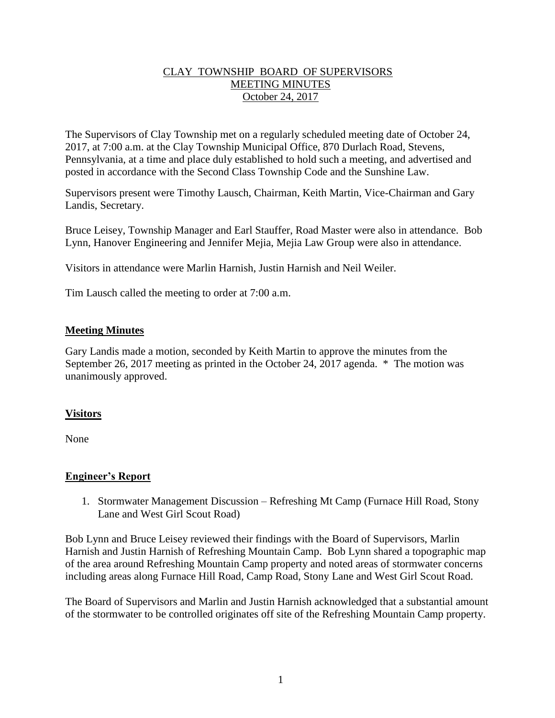## CLAY TOWNSHIP BOARD OF SUPERVISORS MEETING MINUTES October 24, 2017

The Supervisors of Clay Township met on a regularly scheduled meeting date of October 24, 2017, at 7:00 a.m. at the Clay Township Municipal Office, 870 Durlach Road, Stevens, Pennsylvania, at a time and place duly established to hold such a meeting, and advertised and posted in accordance with the Second Class Township Code and the Sunshine Law.

Supervisors present were Timothy Lausch, Chairman, Keith Martin, Vice-Chairman and Gary Landis, Secretary.

Bruce Leisey, Township Manager and Earl Stauffer, Road Master were also in attendance. Bob Lynn, Hanover Engineering and Jennifer Mejia, Mejia Law Group were also in attendance.

Visitors in attendance were Marlin Harnish, Justin Harnish and Neil Weiler.

Tim Lausch called the meeting to order at 7:00 a.m.

### **Meeting Minutes**

Gary Landis made a motion, seconded by Keith Martin to approve the minutes from the September 26, 2017 meeting as printed in the October 24, 2017 agenda. \* The motion was unanimously approved.

#### **Visitors**

None

#### **Engineer's Report**

1. Stormwater Management Discussion – Refreshing Mt Camp (Furnace Hill Road, Stony Lane and West Girl Scout Road)

Bob Lynn and Bruce Leisey reviewed their findings with the Board of Supervisors, Marlin Harnish and Justin Harnish of Refreshing Mountain Camp. Bob Lynn shared a topographic map of the area around Refreshing Mountain Camp property and noted areas of stormwater concerns including areas along Furnace Hill Road, Camp Road, Stony Lane and West Girl Scout Road.

The Board of Supervisors and Marlin and Justin Harnish acknowledged that a substantial amount of the stormwater to be controlled originates off site of the Refreshing Mountain Camp property.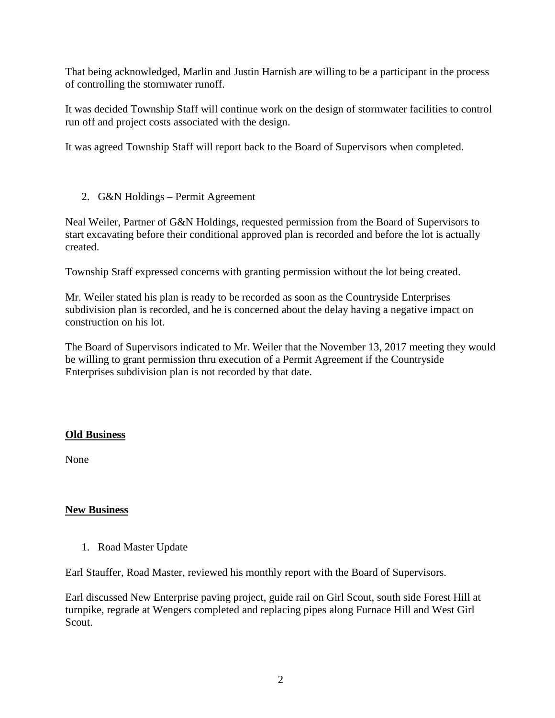That being acknowledged, Marlin and Justin Harnish are willing to be a participant in the process of controlling the stormwater runoff.

It was decided Township Staff will continue work on the design of stormwater facilities to control run off and project costs associated with the design.

It was agreed Township Staff will report back to the Board of Supervisors when completed.

2. G&N Holdings – Permit Agreement

Neal Weiler, Partner of G&N Holdings, requested permission from the Board of Supervisors to start excavating before their conditional approved plan is recorded and before the lot is actually created.

Township Staff expressed concerns with granting permission without the lot being created.

Mr. Weiler stated his plan is ready to be recorded as soon as the Countryside Enterprises subdivision plan is recorded, and he is concerned about the delay having a negative impact on construction on his lot.

The Board of Supervisors indicated to Mr. Weiler that the November 13, 2017 meeting they would be willing to grant permission thru execution of a Permit Agreement if the Countryside Enterprises subdivision plan is not recorded by that date.

## **Old Business**

None

## **New Business**

1. Road Master Update

Earl Stauffer, Road Master, reviewed his monthly report with the Board of Supervisors.

Earl discussed New Enterprise paving project, guide rail on Girl Scout, south side Forest Hill at turnpike, regrade at Wengers completed and replacing pipes along Furnace Hill and West Girl Scout.